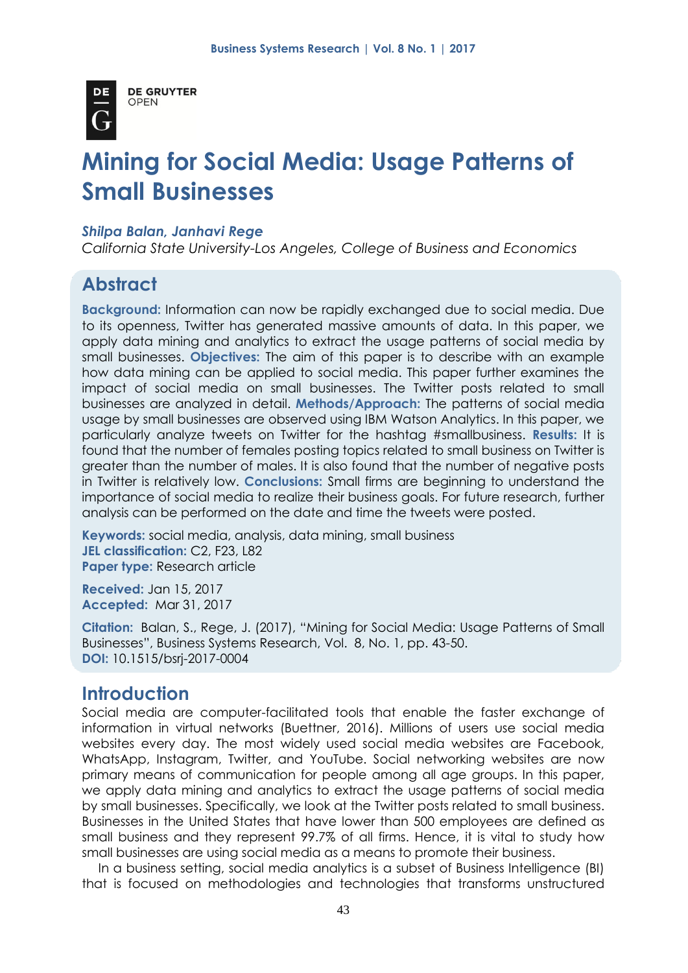

**DE GRUYTER OPEN** 

# **Mining for Social Media: Usage Patterns of Small Businesses**

#### *Shilpa Balan, Janhavi Rege*

*California State University-Los Angeles, College of Business and Economics*

# **Abstract**

**Background:** Information can now be rapidly exchanged due to social media. Due to its openness, Twitter has generated massive amounts of data. In this paper, we apply data mining and analytics to extract the usage patterns of social media by small businesses. **Objectives:** The aim of this paper is to describe with an example how data mining can be applied to social media. This paper further examines the impact of social media on small businesses. The Twitter posts related to small businesses are analyzed in detail. **Methods/Approach:** The patterns of social media usage by small businesses are observed using IBM Watson Analytics. In this paper, we particularly analyze tweets on Twitter for the hashtag #smallbusiness. **Results:** It is found that the number of females posting topics related to small business on Twitter is greater than the number of males. It is also found that the number of negative posts in Twitter is relatively low. **Conclusions:** Small firms are beginning to understand the importance of social media to realize their business goals. For future research, further analysis can be performed on the date and time the tweets were posted.

**Keywords:** social media, analysis, data mining, small business **JEL classification:** C2, F23, L82 **Paper type:** Research article

**Received:** Jan 15, 2017 **Accepted:** Mar 31, 2017

**Citation:** Balan, S., Rege, J. (2017), "Mining for Social Media: Usage Patterns of Small Businesses", Business Systems Research, Vol. 8, No. 1, pp. 43-50. **DOI:** 10.1515/bsrj-2017-0004

# **Introduction**

Social media are computer-facilitated tools that enable the faster exchange of information in virtual networks (Buettner, 2016). Millions of users use social media websites every day. The most widely used social media websites are Facebook, WhatsApp, Instagram, Twitter, and YouTube. Social networking websites are now primary means of communication for people among all age groups. In this paper, we apply data mining and analytics to extract the usage patterns of social media by small businesses. Specifically, we look at the Twitter posts related to small business. Businesses in the United States that have lower than 500 employees are defined as small business and they represent 99.7% of all firms. Hence, it is vital to study how small businesses are using social media as a means to promote their business.

In a business setting, social media analytics is a subset of Business Intelligence (BI) that is focused on methodologies and technologies that transforms unstructured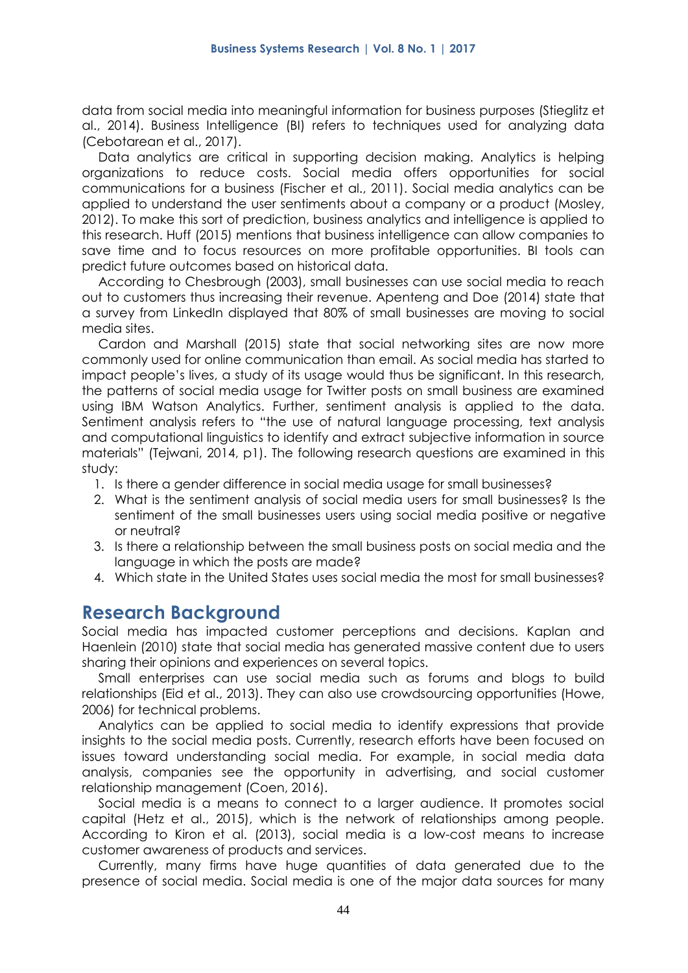data from social media into meaningful information for business purposes (Stieglitz et al., 2014). Business Intelligence (BI) refers to techniques used for analyzing data (Cebotarean et al., 2017).

Data analytics are critical in supporting decision making. Analytics is helping organizations to reduce costs. Social media offers opportunities for social communications for a business (Fischer et al., 2011). Social media analytics can be applied to understand the user sentiments about a company or a product (Mosley, 2012). To make this sort of prediction, business analytics and intelligence is applied to this research. Huff (2015) mentions that business intelligence can allow companies to save time and to focus resources on more profitable opportunities. BI tools can predict future outcomes based on historical data.

According to Chesbrough (2003), small businesses can use social media to reach out to customers thus increasing their revenue. Apenteng and Doe (2014) state that a survey from LinkedIn displayed that 80% of small businesses are moving to social media sites.

Cardon and Marshall (2015) state that social networking sites are now more commonly used for online communication than email. As social media has started to impact people's lives, a study of its usage would thus be significant. In this research, the patterns of social media usage for Twitter posts on small business are examined using IBM Watson Analytics. Further, sentiment analysis is applied to the data. Sentiment analysis refers to "the use of natural language processing, text analysis and computational linguistics to identify and extract subjective information in source materials" (Tejwani, 2014, p1). The following research questions are examined in this study:

- 1. Is there a gender difference in social media usage for small businesses?
- 2. What is the sentiment analysis of social media users for small businesses? Is the sentiment of the small businesses users using social media positive or negative or neutral?
- 3. Is there a relationship between the small business posts on social media and the language in which the posts are made?
- 4. Which state in the United States uses social media the most for small businesses?

## **Research Background**

Social media has impacted customer perceptions and decisions. Kaplan and Haenlein (2010) state that social media has generated massive content due to users sharing their opinions and experiences on several topics.

Small enterprises can use social media such as forums and blogs to build relationships (Eid et al., 2013). They can also use crowdsourcing opportunities (Howe, 2006) for technical problems.

Analytics can be applied to social media to identify expressions that provide insights to the social media posts. Currently, research efforts have been focused on issues toward understanding social media. For example, in social media data analysis, companies see the opportunity in advertising, and social customer relationship management (Coen, 2016).

Social media is a means to connect to a larger audience. It promotes social capital (Hetz et al., 2015), which is the network of relationships among people. According to Kiron et al. (2013), social media is a low-cost means to increase customer awareness of products and services.

Currently, many firms have huge quantities of data generated due to the presence of social media. Social media is one of the major data sources for many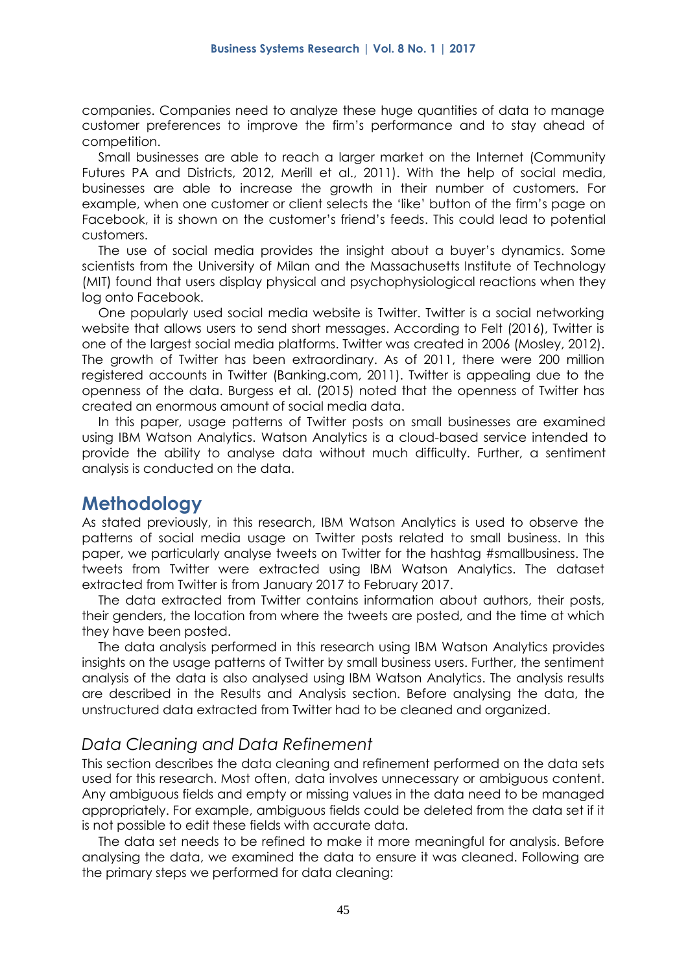companies. Companies need to analyze these huge quantities of data to manage customer preferences to improve the firm's performance and to stay ahead of competition.

Small businesses are able to reach a larger market on the Internet (Community Futures PA and Districts, 2012, Merill et al., 2011). With the help of social media, businesses are able to increase the growth in their number of customers. For example, when one customer or client selects the 'like' button of the firm's page on Facebook, it is shown on the customer's friend's feeds. This could lead to potential customers.

The use of social media provides the insight about a buyer's dynamics. Some scientists from the University of Milan and the Massachusetts Institute of Technology (MIT) found that users display physical and psychophysiological reactions when they log onto Facebook.

One popularly used social media website is Twitter. Twitter is a social networking website that allows users to send short messages. According to Felt (2016), Twitter is one of the largest social media platforms. Twitter was created in 2006 (Mosley, 2012). The growth of Twitter has been extraordinary. As of 2011, there were 200 million registered accounts in Twitter (Banking.com, 2011). Twitter is appealing due to the openness of the data. Burgess et al. (2015) noted that the openness of Twitter has created an enormous amount of social media data.

In this paper, usage patterns of Twitter posts on small businesses are examined using IBM Watson Analytics. Watson Analytics is a cloud-based service intended to provide the ability to analyse data without much difficulty. Further, a sentiment analysis is conducted on the data.

#### **Methodology**

As stated previously, in this research, IBM Watson Analytics is used to observe the patterns of social media usage on Twitter posts related to small business. In this paper, we particularly analyse tweets on Twitter for the hashtag #smallbusiness. The tweets from Twitter were extracted using IBM Watson Analytics. The dataset extracted from Twitter is from January 2017 to February 2017.

The data extracted from Twitter contains information about authors, their posts, their genders, the location from where the tweets are posted, and the time at which they have been posted.

The data analysis performed in this research using IBM Watson Analytics provides insights on the usage patterns of Twitter by small business users. Further, the sentiment analysis of the data is also analysed using IBM Watson Analytics. The analysis results are described in the Results and Analysis section. Before analysing the data, the unstructured data extracted from Twitter had to be cleaned and organized.

#### *Data Cleaning and Data Refinement*

This section describes the data cleaning and refinement performed on the data sets used for this research. Most often, data involves unnecessary or ambiguous content. Any ambiguous fields and empty or missing values in the data need to be managed appropriately. For example, ambiguous fields could be deleted from the data set if it is not possible to edit these fields with accurate data.

The data set needs to be refined to make it more meaningful for analysis. Before analysing the data, we examined the data to ensure it was cleaned. Following are the primary steps we performed for data cleaning: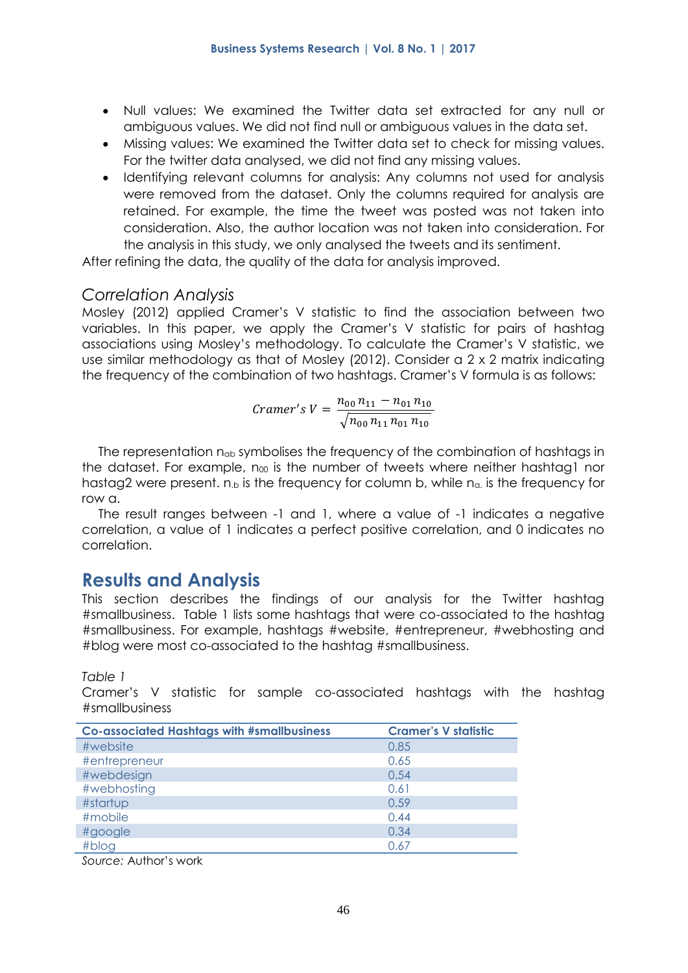- Null values: We examined the Twitter data set extracted for any null or ambiguous values. We did not find null or ambiguous values in the data set.
- Missing values: We examined the Twitter data set to check for missing values. For the twitter data analysed, we did not find any missing values.
- Identifying relevant columns for analysis: Any columns not used for analysis were removed from the dataset. Only the columns required for analysis are retained. For example, the time the tweet was posted was not taken into consideration. Also, the author location was not taken into consideration. For the analysis in this study, we only analysed the tweets and its sentiment.

After refining the data, the quality of the data for analysis improved.

#### *Correlation Analysis*

Mosley (2012) applied Cramer's V statistic to find the association between two variables. In this paper, we apply the Cramer's V statistic for pairs of hashtag associations using Mosley's methodology. To calculate the Cramer's V statistic, we use similar methodology as that of Mosley (2012). Consider a 2 x 2 matrix indicating the frequency of the combination of two hashtags. Cramer's V formula is as follows:

$$
Cramer's V = \frac{n_{00} n_{11} - n_{01} n_{10}}{\sqrt{n_{00} n_{11} n_{01} n_{10}}}
$$

The representation nab symbolises the frequency of the combination of hashtags in the dataset. For example, n $\omega$  is the number of tweets where neither hashtag1 nor hastag2 were present.  $n_b$  is the frequency for column b, while  $n_a$  is the frequency for row a.

The result ranges between -1 and 1, where a value of -1 indicates a negative correlation, a value of 1 indicates a perfect positive correlation, and 0 indicates no correlation.

## **Results and Analysis**

This section describes the findings of our analysis for the Twitter hashtag #smallbusiness. Table 1 lists some hashtags that were co-associated to the hashtag #smallbusiness. For example, hashtags #website, #entrepreneur, #webhosting and #blog were most co-associated to the hashtag #smallbusiness.

*Table 1*

Cramer's V statistic for sample co-associated hashtags with the hashtag #smallbusiness

| <b>Co-associated Hashtags with #smallbusiness</b> | <b>Cramer's V statistic</b> |
|---------------------------------------------------|-----------------------------|
| #website                                          | 0.85                        |
| #entrepreneur                                     | 0.65                        |
| #webdesign                                        | 0.54                        |
| #webhosting                                       | 0.61                        |
| #startup                                          | 0.59                        |
| #mobile                                           | 0.44                        |
| #google                                           | 0.34                        |
| #blog                                             | 0.67                        |

*Source:* Author's work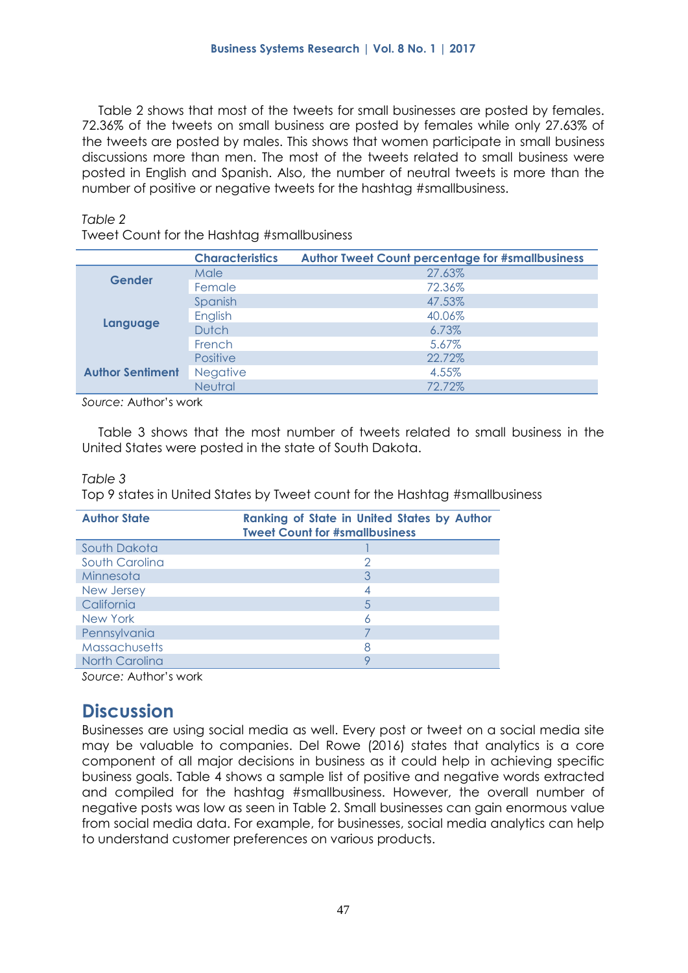Table 2 shows that most of the tweets for small businesses are posted by females. 72.36% of the tweets on small business are posted by females while only 27.63% of the tweets are posted by males. This shows that women participate in small business discussions more than men. The most of the tweets related to small business were posted in English and Spanish. Also, the number of neutral tweets is more than the number of positive or negative tweets for the hashtag #smallbusiness.

#### *Table 2*

Tweet Count for the Hashtag #smallbusiness

|                         | <b>Characteristics</b> | <b>Author Tweet Count percentage for #smallbusiness</b> |
|-------------------------|------------------------|---------------------------------------------------------|
| <b>Gender</b>           | Male                   | 27.63%                                                  |
|                         | Female                 | 72.36%                                                  |
|                         | Spanish                | 47.53%                                                  |
| Language                | English                | 40.06%                                                  |
|                         | <b>Dutch</b>           | 6.73%                                                   |
|                         | French                 | 5.67%                                                   |
| <b>Author Sentiment</b> | <b>Positive</b>        | 22.72%                                                  |
|                         | <b>Negative</b>        | 4.55%                                                   |
|                         | Neutral                | 72.72%                                                  |

*Source:* Author's work

Table 3 shows that the most number of tweets related to small business in the United States were posted in the state of South Dakota.

#### *Table 3*

Top 9 states in United States by Tweet count for the Hashtag #smallbusiness

| <b>Author State</b>  | <b>Ranking of State in United States by Author</b><br><b>Tweet Count for #smallbusiness</b> |
|----------------------|---------------------------------------------------------------------------------------------|
| South Dakota         |                                                                                             |
| South Carolina       |                                                                                             |
| Minnesota            |                                                                                             |
| New Jersey           |                                                                                             |
| California           |                                                                                             |
| New York             |                                                                                             |
| Pennsylvania         |                                                                                             |
| <b>Massachusetts</b> |                                                                                             |
| North Carolina       |                                                                                             |

*Source:* Author's work

# **Discussion**

Businesses are using social media as well. Every post or tweet on a social media site may be valuable to companies. Del Rowe (2016) states that analytics is a core component of all major decisions in business as it could help in achieving specific business goals. Table 4 shows a sample list of positive and negative words extracted and compiled for the hashtag #smallbusiness. However, the overall number of negative posts was low as seen in Table 2. Small businesses can gain enormous value from social media data. For example, for businesses, social media analytics can help to understand customer preferences on various products.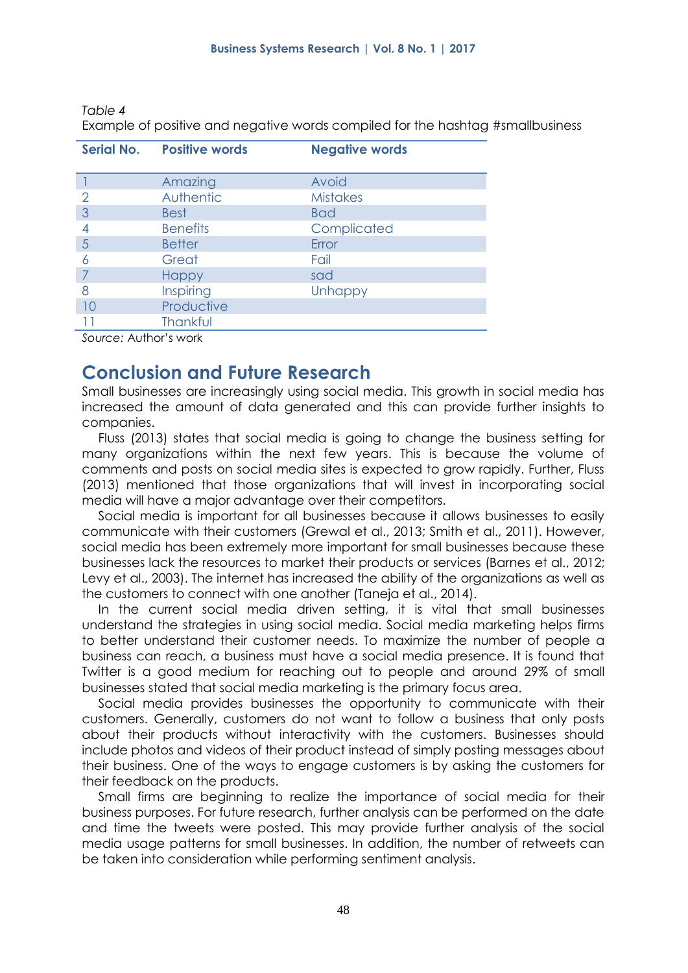| Serial No.     | <b>Positive words</b> | <b>Negative words</b> |  |
|----------------|-----------------------|-----------------------|--|
|                |                       |                       |  |
|                | Amazing               | Avoid                 |  |
| 2              | Authentic             | <b>Mistakes</b>       |  |
| 3              | <b>Best</b>           | <b>Bad</b>            |  |
| 4              | <b>Benefits</b>       | Complicated           |  |
| $\overline{5}$ | <b>Better</b>         | Error                 |  |
| 6              | Great                 | Fail                  |  |
|                | <b>Happy</b>          | sad                   |  |
| 8              | Inspiring             | <b>Unhappy</b>        |  |
| 10             | Productive            |                       |  |
|                | Thankful              |                       |  |
| $\sim$<br>.    |                       |                       |  |

*Table 4*

Example of positive and negative words compiled for the hashtag #smallbusiness

*Source:* Author's work

## **Conclusion and Future Research**

Small businesses are increasingly using social media. This growth in social media has increased the amount of data generated and this can provide further insights to companies.

Fluss (2013) states that social media is going to change the business setting for many organizations within the next few years. This is because the volume of comments and posts on social media sites is expected to grow rapidly. Further, Fluss (2013) mentioned that those organizations that will invest in incorporating social media will have a major advantage over their competitors.

Social media is important for all businesses because it allows businesses to easily communicate with their customers (Grewal et al., 2013; Smith et al., 2011). However, social media has been extremely more important for small businesses because these businesses lack the resources to market their products or services (Barnes et al., 2012; Levy et al., 2003). The internet has increased the ability of the organizations as well as the customers to connect with one another (Taneja et al., 2014).

In the current social media driven setting, it is vital that small businesses understand the strategies in using social media. Social media marketing helps firms to better understand their customer needs. To maximize the number of people a business can reach, a business must have a social media presence. It is found that Twitter is a good medium for reaching out to people and around 29% of small businesses stated that social media marketing is the primary focus area.

Social media provides businesses the opportunity to communicate with their customers. Generally, customers do not want to follow a business that only posts about their products without interactivity with the customers. Businesses should include photos and videos of their product instead of simply posting messages about their business. One of the ways to engage customers is by asking the customers for their feedback on the products.

Small firms are beginning to realize the importance of social media for their business purposes. For future research, further analysis can be performed on the date and time the tweets were posted. This may provide further analysis of the social media usage patterns for small businesses. In addition, the number of retweets can be taken into consideration while performing sentiment analysis.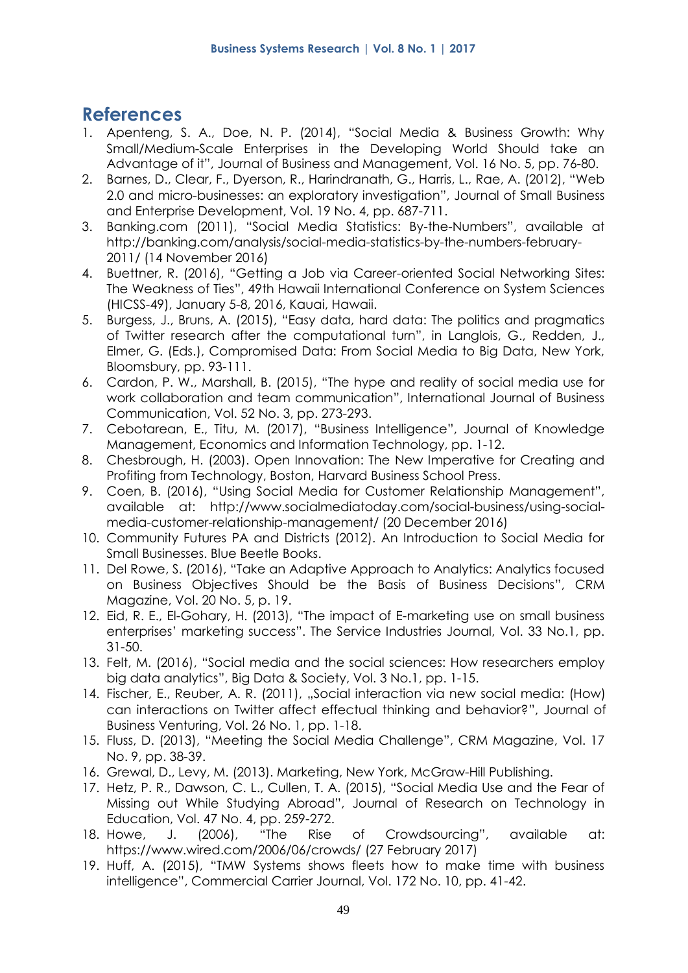# **References**

- 1. Apenteng, S. A., Doe, N. P. (2014), "Social Media & Business Growth: Why Small/Medium-Scale Enterprises in the Developing World Should take an Advantage of it", Journal of Business and Management, Vol. 16 No. 5, pp. 76-80.
- 2. Barnes, D., Clear, F., Dyerson, R., Harindranath, G., Harris, L., Rae, A. (2012), "Web 2.0 and micro-businesses: an exploratory investigation", Journal of Small Business and Enterprise Development, Vol. 19 No. 4, pp. 687-711.
- 3. Banking.com (2011), "Social Media Statistics: By-the-Numbers", available at http://banking.com/analysis/social-media-statistics-by-the-numbers-february-2011/ (14 November 2016)
- 4. Buettner, R. (2016), "Getting a Job via Career-oriented Social Networking Sites: The Weakness of Ties", 49th Hawaii International Conference on System Sciences (HICSS-49), January 5-8, 2016, Kauai, Hawaii.
- 5. Burgess, J., Bruns, A. (2015), "Easy data, hard data: The politics and pragmatics of Twitter research after the computational turn", in Langlois, G., Redden, J., Elmer, G. (Eds.), Compromised Data: From Social Media to Big Data, New York, Bloomsbury, pp. 93-111.
- 6. Cardon, P. W., Marshall, B. (2015), "The hype and reality of social media use for work collaboration and team communication", International Journal of Business Communication, Vol. 52 No. 3, pp. 273-293.
- 7. Cebotarean, E., Titu, M. (2017), "Business Intelligence", Journal of Knowledge Management, Economics and Information Technology, pp. 1-12.
- 8. Chesbrough, H. (2003). Open Innovation: The New Imperative for Creating and Profiting from Technology, Boston, Harvard Business School Press.
- 9. Coen, B. (2016), "Using Social Media for Customer Relationship Management", available at: [http://www.socialmediatoday.com/social-business/using-social](http://www.socialmediatoday.com/social-business/using-social-media-customer-relationship-management/)[media-customer-relationship-management/](http://www.socialmediatoday.com/social-business/using-social-media-customer-relationship-management/) (20 December 2016)
- 10. Community Futures PA and Districts (2012). An Introduction to Social Media for Small Businesses. Blue Beetle Books.
- 11. Del Rowe, S. (2016), "Take an Adaptive Approach to Analytics: Analytics focused on Business Objectives Should be the Basis of Business Decisions", CRM Magazine, Vol. 20 No. 5, p. 19.
- 12. Eid, R. E., El-Gohary, H. (2013), "The impact of E-marketing use on small business enterprises' marketing success". The Service Industries Journal, Vol. 33 No.1, pp. 31-50.
- 13. Felt, M. (2016), "Social media and the social sciences: How researchers employ big data analytics", Big Data & Society, Vol. 3 No.1, pp. 1-15.
- 14. Fischer, E., Reuber, A. R. (2011), "Social interaction via new social media: (How) can interactions on Twitter affect effectual thinking and behavior?", Journal of Business Venturing, Vol. 26 No. 1, pp. 1-18.
- 15. Fluss, D. (2013), "Meeting the Social Media Challenge", CRM Magazine, Vol. 17 No. 9, pp. 38-39.
- 16. Grewal, D., Levy, M. (2013). Marketing, New York, McGraw-Hill Publishing.
- 17. Hetz, P. R., Dawson, C. L., Cullen, T. A. (2015), "Social Media Use and the Fear of Missing out While Studying Abroad", Journal of Research on Technology in Education, Vol. 47 No. 4, pp. 259-272.
- 18. Howe, J. (2006), "The Rise of Crowdsourcing", available at: [https://www.wired.com/2006/06/crowds/](http://www.wired.com/wired/archive/14.06/crowds_pr.html%20/%20(27) (27 February 2017)
- 19. Huff, A. (2015), "TMW Systems shows fleets how to make time with business intelligence", Commercial Carrier Journal, Vol. 172 No. 10, pp. 41-42.